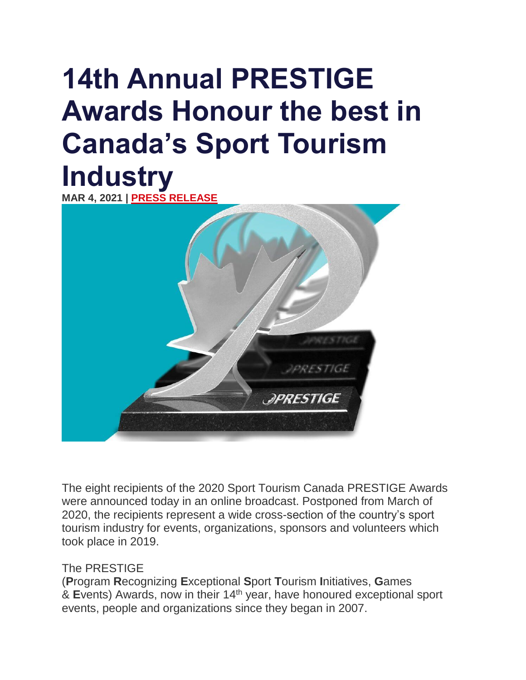# **14th Annual PRESTIGE Awards Honour the best in Canada's Sport Tourism Industry**

**MAR 4, 2021 | PRESS [RELEASE](https://sporttourismcanada.com/category/press-release/)**



The eight recipients of the 2020 Sport Tourism Canada PRESTIGE Awards were announced today in an online broadcast. Postponed from March of 2020, the recipients represent a wide cross-section of the country's sport tourism industry for events, organizations, sponsors and volunteers which took place in 2019.

#### The PRESTIGE

(**P**rogram **R**ecognizing **E**xceptional **S**port **T**ourism **I**nitiatives, **G**ames & **E**vents) Awards, now in their 14 th year, have honoured exceptional sport events, people and organizations since they began in 2007.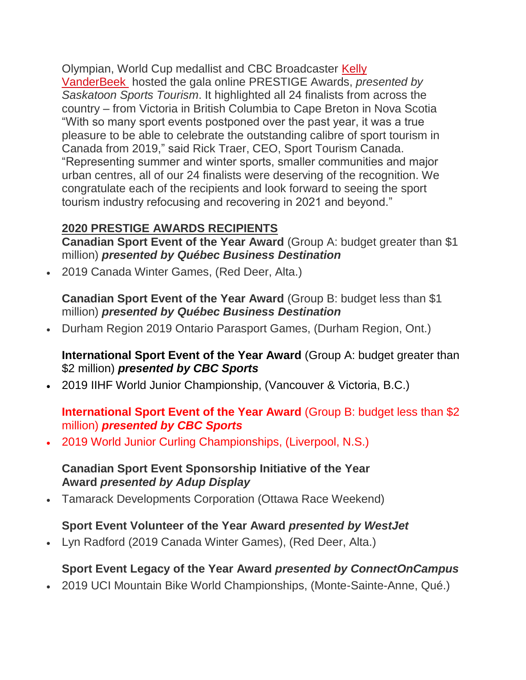Olympian, World Cup medallist and CBC Broadcaster [Kelly](http://canadiansporttourism.com/prestige-awards/kelly-vanderbeek.html) [VanderBeek](http://canadiansporttourism.com/prestige-awards/kelly-vanderbeek.html) hosted the gala online PRESTIGE Awards, *presented by Saskatoon Sports Tourism*. It highlighted all 24 finalists from across the country – from Victoria in British Columbia to Cape Breton in Nova Scotia "With so many sport events postponed over the past year, it was a true pleasure to be able to celebrate the outstanding calibre of sport tourism in Canada from 2019," said Rick Traer, CEO, Sport Tourism Canada. "Representing summer and winter sports, smaller communities and major urban centres, all of our 24 finalists were deserving of the recognition. We congratulate each of the recipients and look forward to seeing the sport tourism industry refocusing and recovering in 2021 and beyond."

## **2020 PRESTIGE AWARDS RECIPIENTS**

**Canadian Sport Event of the Year Award** (Group A: budget greater than \$1 million) *presented by Québec Business Destination*

2019 Canada Winter Games, (Red Deer, Alta.)

**Canadian Sport Event of the Year Award** (Group B: budget less than \$1 million) *presented by Québec Business Destination*

• Durham Region 2019 Ontario Parasport Games, (Durham Region, Ont.)

**International Sport Event of the Year Award** (Group A: budget greater than \$2 million) *presented by CBC Sports*

2019 IIHF World Junior Championship, (Vancouver & Victoria, B.C.)

## **International Sport Event of the Year Award** (Group B: budget less than \$2 million) *presented by CBC Sports*

2019 World Junior Curling Championships, (Liverpool, N.S.)

### **Canadian Sport Event Sponsorship Initiative of the Year Award** *presented by Adup Display*

Tamarack Developments Corporation (Ottawa Race Weekend)

# **Sport Event Volunteer of the Year Award** *presented by WestJet*

Lyn Radford (2019 Canada Winter Games), (Red Deer, Alta.)

# **Sport Event Legacy of the Year Award** *presented by ConnectOnCampus*

2019 UCI Mountain Bike World Championships, (Monte-Sainte-Anne, Qué.)